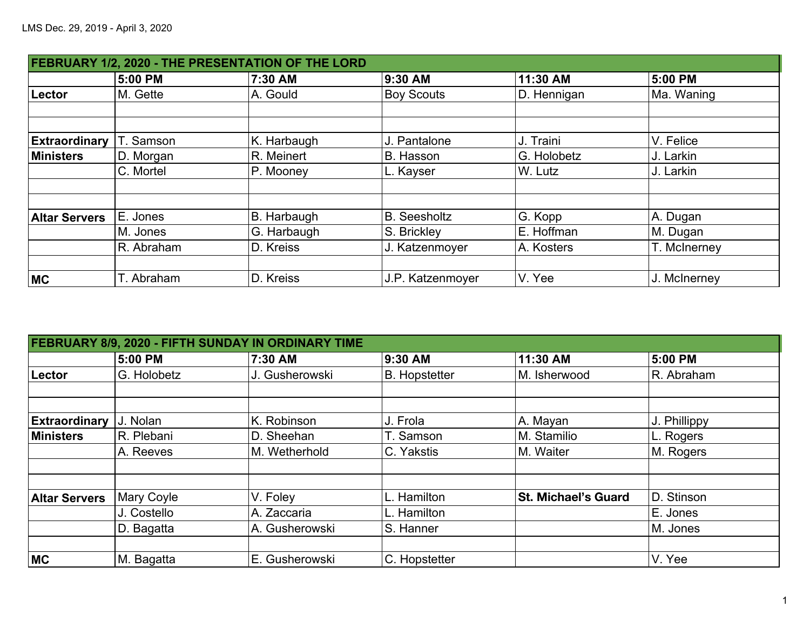|                      | FEBRUARY 1/2, 2020 - THE PRESENTATION OF THE LORD |             |                     |             |              |  |  |  |
|----------------------|---------------------------------------------------|-------------|---------------------|-------------|--------------|--|--|--|
|                      | 5:00 PM                                           | 7:30 AM     | 9:30 AM             | 11:30 AM    | 5:00 PM      |  |  |  |
| Lector               | M. Gette                                          | A. Gould    | <b>Boy Scouts</b>   | D. Hennigan | Ma. Waning   |  |  |  |
|                      |                                                   |             |                     |             |              |  |  |  |
|                      |                                                   |             |                     |             |              |  |  |  |
| <b>Extraordinary</b> | T. Samson                                         | K. Harbaugh | J. Pantalone        | J. Traini   | V. Felice    |  |  |  |
| <b>Ministers</b>     | D. Morgan                                         | R. Meinert  | B. Hasson           | G. Holobetz | J. Larkin    |  |  |  |
|                      | C. Mortel                                         | P. Mooney   | L. Kayser           | W. Lutz     | J. Larkin    |  |  |  |
|                      |                                                   |             |                     |             |              |  |  |  |
| <b>Altar Servers</b> | E. Jones                                          | B. Harbaugh | <b>B.</b> Seesholtz | G. Kopp     | A. Dugan     |  |  |  |
|                      | M. Jones                                          | G. Harbaugh | S. Brickley         | E. Hoffman  | M. Dugan     |  |  |  |
|                      | R. Abraham                                        | D. Kreiss   | J. Katzenmoyer      | A. Kosters  | T. McInerney |  |  |  |
|                      |                                                   |             |                     |             |              |  |  |  |
| <b>MC</b>            | T. Abraham                                        | D. Kreiss   | J.P. Katzenmoyer    | V. Yee      | J. McInerney |  |  |  |

| FEBRUARY 8/9, 2020 - FIFTH SUNDAY IN ORDINARY TIME |             |                |                      |                            |              |  |  |
|----------------------------------------------------|-------------|----------------|----------------------|----------------------------|--------------|--|--|
|                                                    | 5:00 PM     | 7:30 AM        | 9:30 AM              | 11:30 AM                   | 5:00 PM      |  |  |
| Lector                                             | G. Holobetz | J. Gusherowski | <b>B.</b> Hopstetter | M. Isherwood               | R. Abraham   |  |  |
|                                                    |             |                |                      |                            |              |  |  |
| <b>Extraordinary</b>                               | J. Nolan    | K. Robinson    | J. Frola             | A. Mayan                   | J. Phillippy |  |  |
| <b>Ministers</b>                                   | R. Plebani  | D. Sheehan     | T. Samson            | M. Stamilio                | L. Rogers    |  |  |
|                                                    | A. Reeves   | M. Wetherhold  | C. Yakstis           | M. Waiter                  | M. Rogers    |  |  |
|                                                    |             |                |                      |                            |              |  |  |
| <b>Altar Servers</b>                               | Mary Coyle  | V. Foley       | Hamilton             | <b>St. Michael's Guard</b> | D. Stinson   |  |  |
|                                                    | J. Costello | A. Zaccaria    | L. Hamilton          |                            | E. Jones     |  |  |
|                                                    | D. Bagatta  | A. Gusherowski | <b>S. Hanner</b>     |                            | M. Jones     |  |  |
| <b>MC</b>                                          | M. Bagatta  | E. Gusherowski | C. Hopstetter        |                            | V. Yee       |  |  |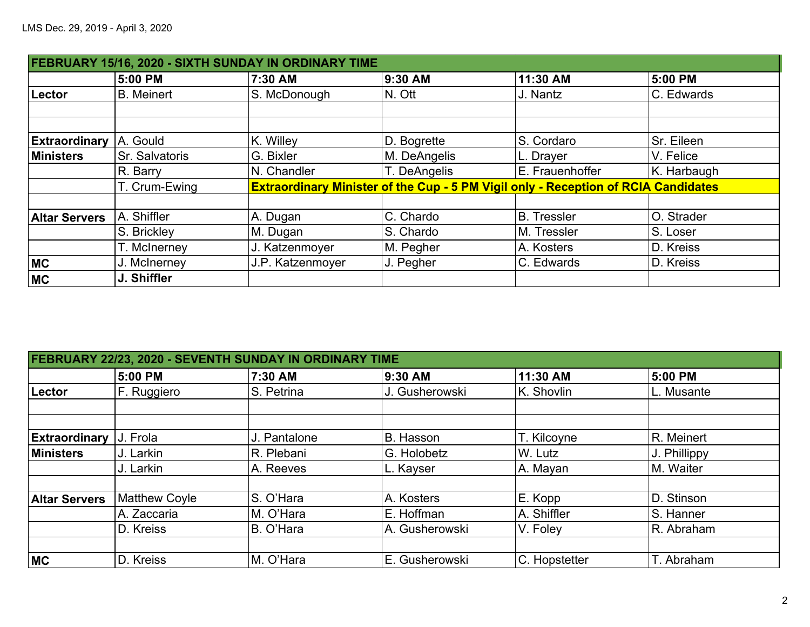| FEBRUARY 15/16, 2020 - SIXTH SUNDAY IN ORDINARY TIME |                       |                  |              |                                                                                           |             |  |  |
|------------------------------------------------------|-----------------------|------------------|--------------|-------------------------------------------------------------------------------------------|-------------|--|--|
|                                                      | 5:00 PM               | 7:30 AM          | 9:30 AM      | 11:30 AM                                                                                  | 5:00 PM     |  |  |
| Lector                                               | <b>B.</b> Meinert     | S. McDonough     | $N.$ Ott     | J. Nantz                                                                                  | C. Edwards  |  |  |
|                                                      |                       |                  |              |                                                                                           |             |  |  |
| <b>Extraordinary</b>                                 | A. Gould              | K. Willey        | D. Bogrette  | S. Cordaro                                                                                | Sr. Eileen  |  |  |
| <b>Ministers</b>                                     | <b>Sr. Salvatoris</b> | G. Bixler        | M. DeAngelis | L. Drayer                                                                                 | V. Felice   |  |  |
|                                                      | R. Barry              | N. Chandler      | T. DeAngelis | E. Frauenhoffer                                                                           | K. Harbaugh |  |  |
|                                                      | T. Crum-Ewing         |                  |              | <b>Extraordinary Minister of the Cup - 5 PM Vigil only - Reception of RCIA Candidates</b> |             |  |  |
| <b>Altar Servers</b>                                 | A. Shiffler           | A. Dugan         | C. Chardo    | <b>B.</b> Tressler                                                                        | O. Strader  |  |  |
|                                                      | S. Brickley           | M. Dugan         | S. Chardo    | M. Tressler                                                                               | S. Loser    |  |  |
|                                                      | T. McInerney          | J. Katzenmoyer   | M. Pegher    | A. Kosters                                                                                | D. Kreiss   |  |  |
| <b>MC</b>                                            | J. McInerney          | J.P. Katzenmoyer | J. Pegher    | C. Edwards                                                                                | D. Kreiss   |  |  |
| <b>MC</b>                                            | J. Shiffler           |                  |              |                                                                                           |             |  |  |

|                      | FEBRUARY 22/23, 2020 - SEVENTH SUNDAY IN ORDINARY TIME |              |                |                |              |  |  |  |
|----------------------|--------------------------------------------------------|--------------|----------------|----------------|--------------|--|--|--|
|                      | 5:00 PM                                                | 7:30 AM      | 9:30 AM        | 11:30 AM       | 5:00 PM      |  |  |  |
| Lector               | F. Ruggiero                                            | S. Petrina   | J. Gusherowski | K. Shovlin     | L. Musante   |  |  |  |
|                      |                                                        |              |                |                |              |  |  |  |
| <b>Extraordinary</b> | J. Frola                                               | J. Pantalone | B. Hasson      | T. Kilcoyne    | R. Meinert   |  |  |  |
| <b>Ministers</b>     | J. Larkin                                              | R. Plebani   | G. Holobetz    | W. Lutz        | J. Phillippy |  |  |  |
|                      | J. Larkin                                              | A. Reeves    | L. Kayser      | A. Mayan       | M. Waiter    |  |  |  |
| <b>Altar Servers</b> | <b>Matthew Coyle</b>                                   | S. O'Hara    | A. Kosters     | <b>E.</b> Kopp | D. Stinson   |  |  |  |
|                      | A. Zaccaria                                            | M. O'Hara    | E. Hoffman     | A. Shiffler    | S. Hanner    |  |  |  |
|                      | D. Kreiss                                              | B. O'Hara    | A. Gusherowski | V. Foley       | R. Abraham   |  |  |  |
|                      |                                                        |              |                |                |              |  |  |  |
| <b>MC</b>            | D. Kreiss                                              | M. O'Hara    | E. Gusherowski | C. Hopstetter  | T. Abraham   |  |  |  |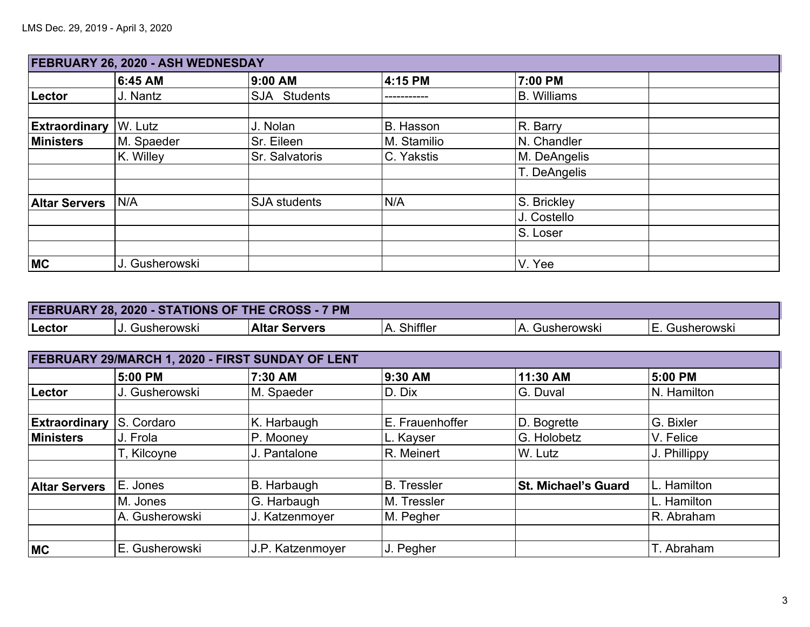|                      | FEBRUARY 26, 2020 - ASH WEDNESDAY |                     |             |                    |  |  |  |
|----------------------|-----------------------------------|---------------------|-------------|--------------------|--|--|--|
|                      | 6:45 AM                           | 9:00 AM             | 4:15 PM     | 7:00 PM            |  |  |  |
| Lector               | J. Nantz                          | SJA Students        |             | <b>B.</b> Williams |  |  |  |
| <b>Extraordinary</b> | W. Lutz                           | J. Nolan            | B. Hasson   | R. Barry           |  |  |  |
| <b>Ministers</b>     | M. Spaeder                        | Sr. Eileen          | M. Stamilio | N. Chandler        |  |  |  |
|                      | K. Willey                         | Sr. Salvatoris      | C. Yakstis  | M. DeAngelis       |  |  |  |
|                      |                                   |                     |             | T. DeAngelis       |  |  |  |
| <b>Altar Servers</b> | N/A                               | <b>SJA</b> students | N/A         | S. Brickley        |  |  |  |
|                      |                                   |                     |             | J. Costello        |  |  |  |
|                      |                                   |                     |             | S. Loser           |  |  |  |
|                      |                                   |                     |             |                    |  |  |  |
| <b>MC</b>            | J. Gusherowski                    |                     |             | V. Yee             |  |  |  |

| <b>FEBRUARY 28, 2020 - STATIONS OF THE CROSS - 7</b><br>7 PM |                   |                      |                 |                             |             |  |  |
|--------------------------------------------------------------|-------------------|----------------------|-----------------|-----------------------------|-------------|--|--|
| Lector                                                       | Gusherowski<br>u. | <b>Altar Servers</b> | Shiffler<br>-A. | $\mathbf{v}$<br>Gusherowski | Gusherowski |  |  |

| FEBRUARY 29/MARCH 1, 2020 - FIRST SUNDAY OF LENT |                |                  |                    |                            |              |  |  |
|--------------------------------------------------|----------------|------------------|--------------------|----------------------------|--------------|--|--|
|                                                  | 5:00 PM        | 7:30 AM          | 9:30 AM            | 11:30 AM                   | 5:00 PM      |  |  |
| Lector                                           | J. Gusherowski | M. Spaeder       | D. Dix             | G. Duval                   | N. Hamilton  |  |  |
|                                                  |                |                  |                    |                            |              |  |  |
| <b>Extraordinary</b>                             | S. Cordaro     | K. Harbaugh      | E. Frauenhoffer    | D. Bogrette                | G. Bixler    |  |  |
| <b>Ministers</b>                                 | J. Frola       | P. Mooney        | L. Kayser          | G. Holobetz                | V. Felice    |  |  |
|                                                  | T, Kilcoyne    | J. Pantalone     | R. Meinert         | W. Lutz                    | J. Phillippy |  |  |
|                                                  |                |                  |                    |                            |              |  |  |
| <b>Altar Servers</b>                             | E. Jones       | B. Harbaugh      | <b>B.</b> Tressler | <b>St. Michael's Guard</b> | L. Hamilton  |  |  |
|                                                  | M. Jones       | G. Harbaugh      | M. Tressler        |                            | L. Hamilton  |  |  |
|                                                  | A. Gusherowski | J. Katzenmoyer   | M. Pegher          |                            | R. Abraham   |  |  |
|                                                  |                |                  |                    |                            |              |  |  |
| <b>MC</b>                                        | E. Gusherowski | J.P. Katzenmoyer | J. Pegher          |                            | T. Abraham   |  |  |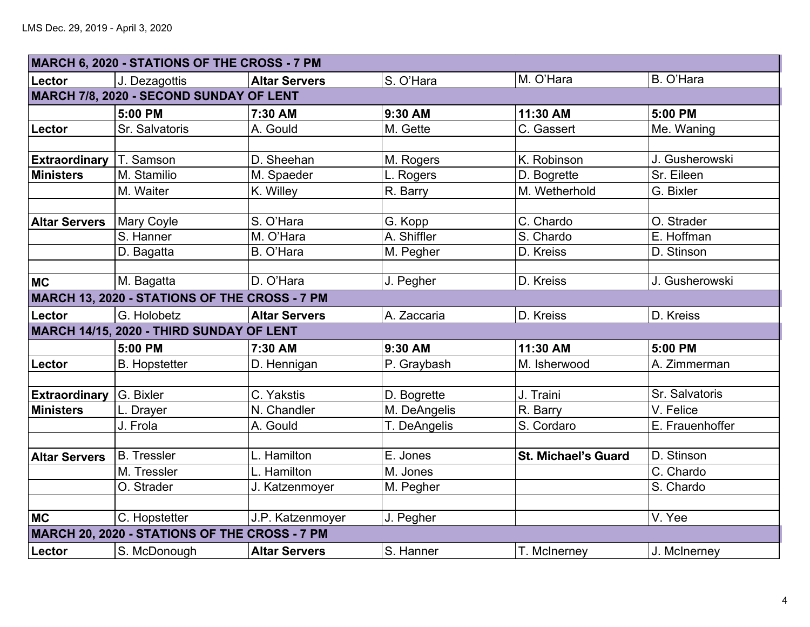|                      | MARCH 6, 2020 - STATIONS OF THE CROSS - 7 PM  |                      |              |                            |                 |
|----------------------|-----------------------------------------------|----------------------|--------------|----------------------------|-----------------|
| Lector               | J. Dezagottis                                 | <b>Altar Servers</b> | S. O'Hara    | M. O'Hara                  | B. O'Hara       |
|                      | MARCH 7/8, 2020 - SECOND SUNDAY OF LENT       |                      |              |                            |                 |
|                      | 5:00 PM                                       | 7:30 AM              | 9:30 AM      | 11:30 AM                   | 5:00 PM         |
| Lector               | Sr. Salvatoris                                | A. Gould             | M. Gette     | C. Gassert                 | Me. Waning      |
|                      |                                               |                      |              |                            |                 |
| <b>Extraordinary</b> | T. Samson                                     | D. Sheehan           | M. Rogers    | K. Robinson                | J. Gusherowski  |
| <b>Ministers</b>     | M. Stamilio                                   | M. Spaeder           | L. Rogers    | D. Bogrette                | Sr. Eileen      |
|                      | M. Waiter                                     | K. Willey            | R. Barry     | M. Wetherhold              | G. Bixler       |
|                      |                                               |                      |              |                            |                 |
| <b>Altar Servers</b> | <b>Mary Coyle</b>                             | S. O'Hara            | G. Kopp      | C. Chardo                  | O. Strader      |
|                      | S. Hanner                                     | M. O'Hara            | A. Shiffler  | S. Chardo                  | E. Hoffman      |
|                      | D. Bagatta                                    | B. O'Hara            | M. Pegher    | D. Kreiss                  | D. Stinson      |
|                      |                                               |                      |              |                            |                 |
| <b>MC</b>            | M. Bagatta                                    | D. O'Hara            | J. Pegher    | D. Kreiss                  | J. Gusherowski  |
|                      | MARCH 13, 2020 - STATIONS OF THE CROSS - 7 PM |                      |              |                            |                 |
| Lector               | G. Holobetz                                   | <b>Altar Servers</b> | A. Zaccaria  | D. Kreiss                  | D. Kreiss       |
|                      | MARCH 14/15, 2020 - THIRD SUNDAY OF LENT      |                      |              |                            |                 |
|                      | 5:00 PM                                       | 7:30 AM              | 9:30 AM      | 11:30 AM                   | 5:00 PM         |
| Lector               | <b>B.</b> Hopstetter                          | D. Hennigan          | P. Graybash  | M. Isherwood               | A. Zimmerman    |
|                      |                                               |                      |              |                            |                 |
| <b>Extraordinary</b> | G. Bixler                                     | C. Yakstis           | D. Bogrette  | J. Traini                  | Sr. Salvatoris  |
| <b>Ministers</b>     | L. Drayer                                     | N. Chandler          | M. DeAngelis | R. Barry                   | V. Felice       |
|                      | J. Frola                                      | A. Gould             | T. DeAngelis | S. Cordaro                 | E. Frauenhoffer |
|                      |                                               |                      |              |                            |                 |
| <b>Altar Servers</b> | <b>B.</b> Tressler                            | L. Hamilton          | E. Jones     | <b>St. Michael's Guard</b> | D. Stinson      |
|                      | M. Tressler                                   | L. Hamilton          | M. Jones     |                            | C. Chardo       |
|                      | O. Strader                                    | J. Katzenmoyer       | M. Pegher    |                            | S. Chardo       |
|                      |                                               |                      |              |                            |                 |
| <b>MC</b>            | C. Hopstetter                                 | J.P. Katzenmoyer     | J. Pegher    |                            | V. Yee          |
|                      | MARCH 20, 2020 - STATIONS OF THE CROSS - 7 PM |                      |              |                            |                 |
| Lector               | S. McDonough                                  | <b>Altar Servers</b> | S. Hanner    | T. McInerney               | J. McInerney    |